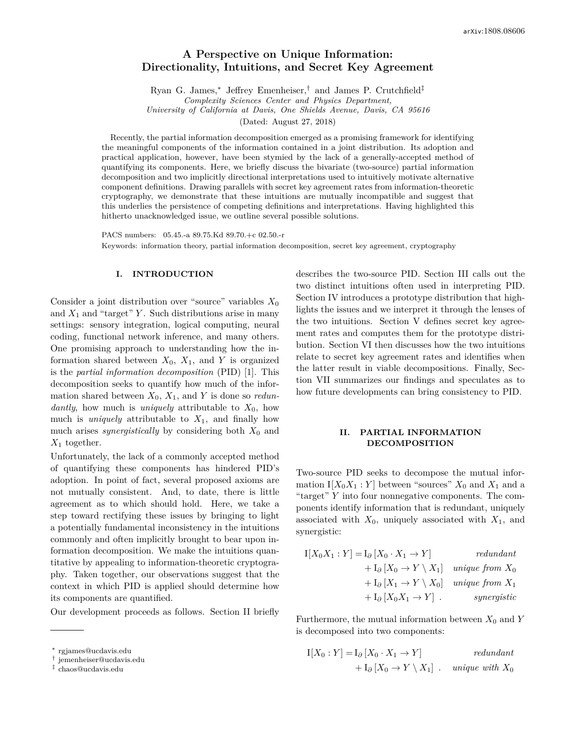# **A Perspective on Unique Information: Directionality, Intuitions, and Secret Key Agreement**

Ryan G. James,<sup>∗</sup> Jeffrey Emenheiser,† and James P. Crutchfield‡

*Complexity Sciences Center and Physics Department,*

*University of California at Davis, One Shields Avenue, Davis, CA 95616*

(Dated: August 27, 2018)

Recently, the partial information decomposition emerged as a promising framework for identifying the meaningful components of the information contained in a joint distribution. Its adoption and practical application, however, have been stymied by the lack of a generally-accepted method of quantifying its components. Here, we briefly discuss the bivariate (two-source) partial information decomposition and two implicitly directional interpretations used to intuitively motivate alternative component definitions. Drawing parallels with secret key agreement rates from information-theoretic cryptography, we demonstrate that these intuitions are mutually incompatible and suggest that this underlies the persistence of competing definitions and interpretations. Having highlighted this hitherto unacknowledged issue, we outline several possible solutions.

PACS numbers: 05.45.-a 89.75.Kd 89.70.+c 02.50.-r Keywords: information theory, partial information decomposition, secret key agreement, cryptography

### **I. INTRODUCTION**

Consider a joint distribution over "source" variables *X*<sup>0</sup> and  $X_1$  and "target" *Y*. Such distributions arise in many settings: sensory integration, logical computing, neural coding, functional network inference, and many others. One promising approach to understanding how the information shared between  $X_0$ ,  $X_1$ , and *Y* is organized is the *partial information decomposition* (PID) [1]. This decomposition seeks to quantify how much of the information shared between  $X_0$ ,  $X_1$ , and *Y* is done so *redundantly*, how much is *uniquely* attributable to *X*0, how much is *uniquely* attributable to  $X_1$ , and finally how much arises *synergistically* by considering both  $X_0$  and *X*<sup>1</sup> together.

Unfortunately, the lack of a commonly accepted method of quantifying these components has hindered PID's adoption. In point of fact, several proposed axioms are not mutually consistent. And, to date, there is little agreement as to which should hold. Here, we take a step toward rectifying these issues by bringing to light a potentially fundamental inconsistency in the intuitions commonly and often implicitly brought to bear upon information decomposition. We make the intuitions quantitative by appealing to information-theoretic cryptography. Taken together, our observations suggest that the context in which PID is applied should determine how its components are quantified.

Our development proceeds as follows. Section II briefly

describes the two-source PID. Section III calls out the two distinct intuitions often used in interpreting PID. Section IV introduces a prototype distribution that highlights the issues and we interpret it through the lenses of the two intuitions. Section V defines secret key agreement rates and computes them for the prototype distribution. Section VI then discusses how the two intuitions relate to secret key agreement rates and identifies when the latter result in viable decompositions. Finally, Section VII summarizes our findings and speculates as to how future developments can bring consistency to PID.

# **II. PARTIAL INFORMATION DECOMPOSITION**

Two-source PID seeks to decompose the mutual information  $I[X_0X_1:Y]$  between "sources"  $X_0$  and  $X_1$  and a "target" *Y* into four nonnegative components. The components identify information that is redundant, uniquely associated with  $X_0$ , uniquely associated with  $X_1$ , and synergistic:

I[*X*0*X*<sup>1</sup> : *Y* ] = I*<sup>∂</sup>* [*X*<sup>0</sup> · *X*<sup>1</sup> → *Y* ] *redundant* + I*<sup>∂</sup>* [*X*<sup>0</sup> → *Y* \ *X*1] *unique from X*<sup>0</sup> + I*<sup>∂</sup>* [*X*<sup>1</sup> → *Y* \ *X*0] *unique from X*<sup>1</sup> + I*<sup>∂</sup>* [*X*0*X*<sup>1</sup> → *Y* ] *. synergistic*

Furthermore, the mutual information between  $X_0$  and  $Y$ is decomposed into two components:

$$
I[X_0:Y] = I_{\partial} [X_0 \cdot X_1 \to Y]
$$
  
+ 
$$
I_{\partial} [X_0 \to Y \setminus X_1] \quad unique \text{ with } X_0
$$

<sup>∗</sup> rgjames@ucdavis.edu

<sup>†</sup> jemenheiser@ucdavis.edu

<sup>‡</sup> chaos@ucdavis.edu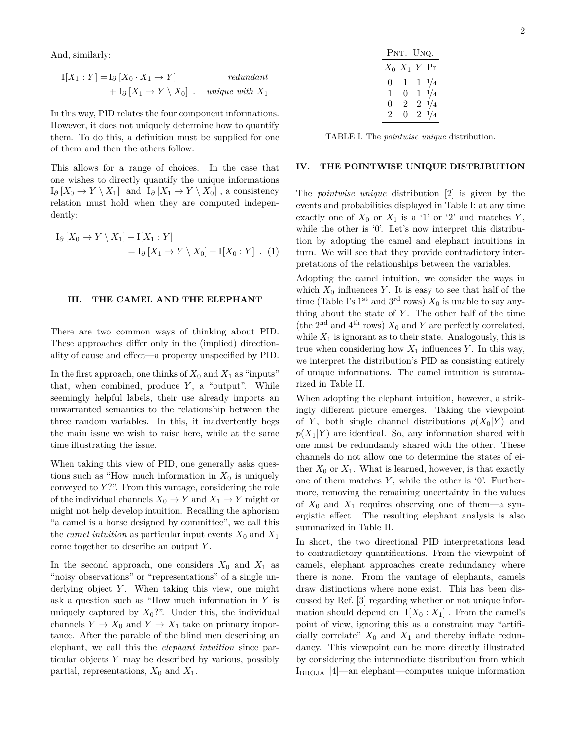And, similarly:

I[*X*<sup>1</sup> : *Y* ] = I*<sup>∂</sup>* [*X*<sup>0</sup> · *X*<sup>1</sup> → *Y* ] *redundant* + I*<sup>∂</sup>* [*X*<sup>1</sup> → *Y* \ *X*0] *. unique with X*<sup>1</sup>

In this way, PID relates the four component informations. However, it does not uniquely determine how to quantify them. To do this, a definition must be supplied for one of them and then the others follow.

This allows for a range of choices. In the case that one wishes to directly quantify the unique informations  $I_{\partial}$  [*X*<sub>0</sub> → *Y* \ *X*<sub>1</sub>] and  $I_{\partial}$  [*X*<sub>1</sub> → *Y* \ *X*<sub>0</sub>], a consistency relation must hold when they are computed independently:

$$
I_{\partial} [X_0 \to Y \setminus X_1] + I[X_1 : Y]
$$
  
= 
$$
I_{\partial} [X_1 \to Y \setminus X_0] + I[X_0 : Y] . (1)
$$

#### **III. THE CAMEL AND THE ELEPHANT**

There are two common ways of thinking about PID. These approaches differ only in the (implied) directionality of cause and effect—a property unspecified by PID.

In the first approach, one thinks of  $X_0$  and  $X_1$  as "inputs" that, when combined, produce *Y*, a "output". While seemingly helpful labels, their use already imports an unwarranted semantics to the relationship between the three random variables. In this, it inadvertently begs the main issue we wish to raise here, while at the same time illustrating the issue.

When taking this view of PID, one generally asks questions such as "How much information in  $X_0$  is uniquely conveyed to *Y* ?". From this vantage, considering the role of the individual channels  $X_0 \to Y$  and  $X_1 \to Y$  might or might not help develop intuition. Recalling the aphorism "a camel is a horse designed by committee", we call this the *camel intuition* as particular input events  $X_0$  and  $X_1$ come together to describe an output *Y* .

In the second approach, one considers  $X_0$  and  $X_1$  as "noisy observations" or "representations" of a single underlying object *Y*. When taking this view, one might ask a question such as "How much information in *Y* is uniquely captured by  $X_0$ ?". Under this, the individual channels  $Y \to X_0$  and  $Y \to X_1$  take on primary importance. After the parable of the blind men describing an elephant, we call this the *elephant intuition* since particular objects *Y* may be described by various, possibly partial, representations,  $X_0$  and  $X_1$ .

|   |                  | PNT. UNQ.       |  |
|---|------------------|-----------------|--|
|   | $X_0$ $X_1$ Y Pr |                 |  |
| 0 | 1                | $1 \frac{1}{4}$ |  |
| 1 | 0                | $1 \frac{1}{4}$ |  |
| 0 | 2                | $2 \frac{1}{4}$ |  |
| 2 | 0                | $2\frac{1}{4}$  |  |

TABLE I. The *pointwise unique* distribution.

## **IV. THE POINTWISE UNIQUE DISTRIBUTION**

The *pointwise unique* distribution [2] is given by the events and probabilities displayed in Table I: at any time exactly one of  $X_0$  or  $X_1$  is a '1' or '2' and matches  $Y$ , while the other is '0'. Let's now interpret this distribution by adopting the camel and elephant intuitions in turn. We will see that they provide contradictory interpretations of the relationships between the variables.

Adopting the camel intuition, we consider the ways in which  $X_0$  influences  $Y$ . It is easy to see that half of the time (Table I's 1<sup>st</sup> and 3<sup>rd</sup> rows)  $X_0$  is unable to say anything about the state of *Y* . The other half of the time (the 2<sup>nd</sup> and 4<sup>th</sup> rows)  $X_0$  and  $Y$  are perfectly correlated, while  $X_1$  is ignorant as to their state. Analogously, this is true when considering how  $X_1$  influences  $Y$ . In this way, we interpret the distribution's PID as consisting entirely of unique informations. The camel intuition is summarized in Table II.

When adopting the elephant intuition, however, a strikingly different picture emerges. Taking the viewpoint of *Y*, both single channel distributions  $p(X_0|Y)$  and  $p(X_1|Y)$  are identical. So, any information shared with one must be redundantly shared with the other. These channels do not allow one to determine the states of either  $X_0$  or  $X_1$ . What is learned, however, is that exactly one of them matches *Y* , while the other is '0'. Furthermore, removing the remaining uncertainty in the values of  $X_0$  and  $X_1$  requires observing one of them—a synergistic effect. The resulting elephant analysis is also summarized in Table II.

In short, the two directional PID interpretations lead to contradictory quantifications. From the viewpoint of camels, elephant approaches create redundancy where there is none. From the vantage of elephants, camels draw distinctions where none exist. This has been discussed by Ref. [3] regarding whether or not unique information should depend on  $I[X_0 : X_1]$ . From the camel's point of view, ignoring this as a constraint may "artificially correlate"  $X_0$  and  $X_1$  and thereby inflate redundancy. This viewpoint can be more directly illustrated by considering the intermediate distribution from which IBROJA [4]—an elephant—computes unique information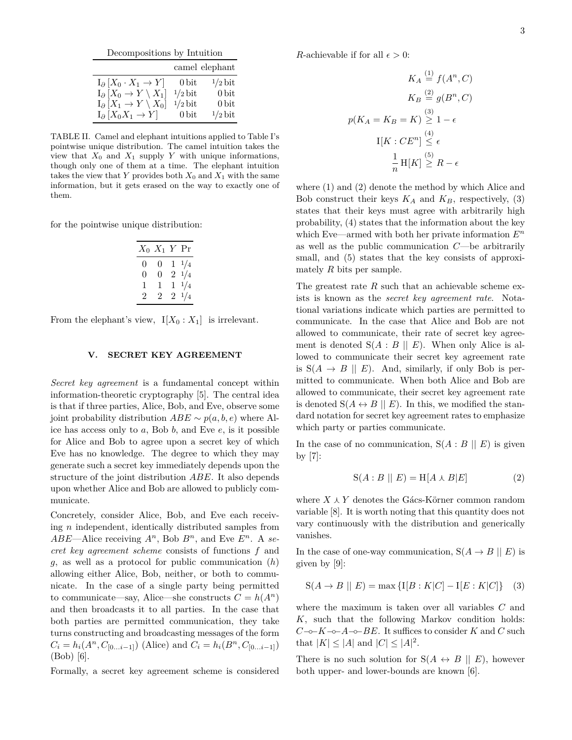| Decompositions by Intuition                    |                  |                  |  |  |
|------------------------------------------------|------------------|------------------|--|--|
|                                                |                  | camel elephant   |  |  |
| $I_{\partial}$ $[X_0 \cdot X_1 \rightarrow Y]$ | 0 <sub>bit</sub> | $1/2$ bit        |  |  |
| $I_{\partial}$ $[X_0 \to Y \setminus X_1]$     | $1/2$ bit        | $0$ bit          |  |  |
| $I_{\partial}[X_1 \to Y \setminus X_0]$        | $1/2$ bit        | 0 <sub>bit</sub> |  |  |
| $I_{\partial}$ $[X_0 X_1 \rightarrow Y]$       | $0$ bit          | $1/2$ bit        |  |  |

TABLE II. Camel and elephant intuitions applied to Table I's pointwise unique distribution. The camel intuition takes the view that  $X_0$  and  $X_1$  supply  $Y$  with unique informations, though only one of them at a time. The elephant intuition takes the view that *Y* provides both  $X_0$  and  $X_1$  with the same information, but it gets erased on the way to exactly one of them.

for the pointwise unique distribution:

$$
\begin{array}{c|cccc}\nX_0 & X_1 & Y & \text{Pr} \\
\hline\n0 & 0 & 1 & \frac{1}{4} \\
0 & 0 & 2 & \frac{1}{4} \\
1 & 1 & 1 & \frac{1}{4} \\
2 & 2 & 2 & \frac{1}{4}\n\end{array}
$$

From the elephant's view,  $I[X_0 : X_1]$  is irrelevant.

## **V. SECRET KEY AGREEMENT**

*Secret key agreement* is a fundamental concept within information-theoretic cryptography [5]. The central idea is that if three parties, Alice, Bob, and Eve, observe some joint probability distribution *ABE* ∼ *p*(*a, b, e*) where Alice has access only to *a*, Bob *b*, and Eve *e*, is it possible for Alice and Bob to agree upon a secret key of which Eve has no knowledge. The degree to which they may generate such a secret key immediately depends upon the structure of the joint distribution *ABE*. It also depends upon whether Alice and Bob are allowed to publicly communicate.

Concretely, consider Alice, Bob, and Eve each receiving *n* independent, identically distributed samples from  $ABE$ —Alice receiving  $A^n$ , Bob  $B^n$ , and Eve  $E^n$ . A *secret key agreement scheme* consists of functions *f* and *g*, as well as a protocol for public communication (*h*) allowing either Alice, Bob, neither, or both to communicate. In the case of a single party being permitted to communicate—say, Alice—she constructs  $C = h(A^n)$ and then broadcasts it to all parties. In the case that both parties are permitted communication, they take turns constructing and broadcasting messages of the form  $C_i = h_i(A^n, C_{[0...i-1]})$  (Alice) and  $C_i = h_i(B^n, C_{[0...i-1]})$ (Bob) [6].

Formally, a secret key agreement scheme is considered

*R*-achievable if for all  $\epsilon > 0$ :

$$
K_A \stackrel{(1)}{=} f(A^n, C)
$$

$$
K_B \stackrel{(2)}{=} g(B^n, C)
$$

$$
p(K_A = K_B = K) \stackrel{(3)}{\geq} 1 - \epsilon
$$

$$
I[K : CE^n] \stackrel{(4)}{\leq} \epsilon
$$

$$
\frac{1}{n} H[K] \stackrel{(5)}{\geq} R - \epsilon
$$

where (1) and (2) denote the method by which Alice and Bob construct their keys  $K_A$  and  $K_B$ , respectively, (3) states that their keys must agree with arbitrarily high probability, (4) states that the information about the key which Eve—armed with both her private information *E<sup>n</sup>* as well as the public communication *C*—be arbitrarily small, and  $(5)$  states that the key consists of approximately *R* bits per sample.

The greatest rate *R* such that an achievable scheme exists is known as the *secret key agreement rate*. Notational variations indicate which parties are permitted to communicate. In the case that Alice and Bob are not allowed to communicate, their rate of secret key agreement is denoted  $S(A : B \parallel E)$ . When only Alice is allowed to communicate their secret key agreement rate is  $S(A \rightarrow B \parallel E)$ . And, similarly, if only Bob is permitted to communicate. When both Alice and Bob are allowed to communicate, their secret key agreement rate is denoted  $S(A \leftrightarrow B \parallel E)$ . In this, we modified the standard notation for secret key agreement rates to emphasize which party or parties communicate.

In the case of no communication,  $S(A : B \parallel E)$  is given by [7]:

$$
S(A:B \parallel E) = H[A \wedge B|E]
$$
 (2)

where  $X \wedge Y$  denotes the Gács-Körner common random variable [8]. It is worth noting that this quantity does not vary continuously with the distribution and generically vanishes.

In the case of one-way communication,  $S(A \rightarrow B \mid E)$  is given by [9]:

$$
S(A \to B \parallel E) = \max \{ I[B : K|C] - I[E : K|C] \} \quad (3)
$$

where the maximum is taken over all variables *C* and *K*, such that the following Markov condition holds: *C*−◦−*K*−◦−*A*−◦−*BE*. It suffices to consider *K* and *C* such that  $|K| \leq |A|$  and  $|C| \leq |A|^2$ .

There is no such solution for  $S(A \leftrightarrow B \parallel E)$ , however both upper- and lower-bounds are known [6].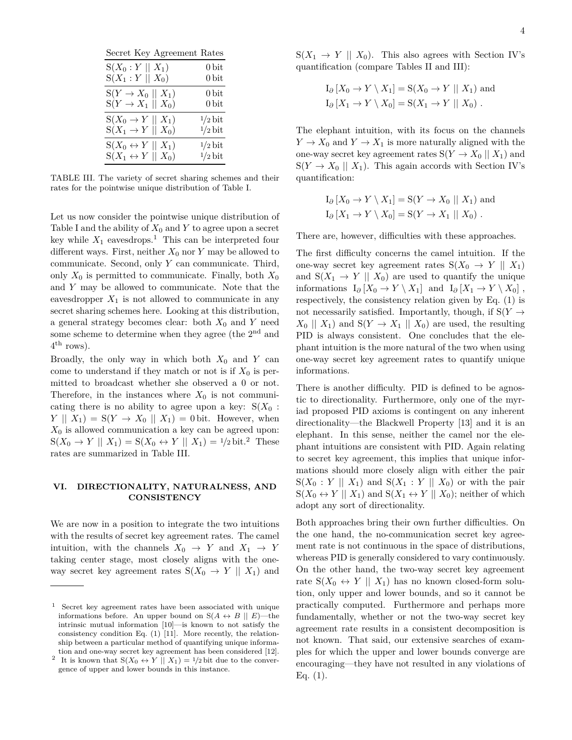| Secret Key Agreement Rates          |                   |
|-------------------------------------|-------------------|
| $S(X_0:Y \parallel X_1)$            | $0\,\mathrm{bit}$ |
| $S(X_1:Y \mid X_0)$                 | $0\,\mathrm{bit}$ |
| $S(Y \rightarrow X_0 \mid X_1)$     | $0\,\mathrm{bit}$ |
| $S(Y \rightarrow X_1 \mid X_0)$     | 0 <sub>bit</sub>  |
| $S(X_0 \to Y \mid X_1)$             | $1/2$ bit         |
| $S(X_1 \rightarrow Y \mid X_0)$     | $1/2$ bit         |
| $S(X_0 \leftrightarrow Y \mid X_1)$ | $1/2$ bit         |
| $S(X_1 \leftrightarrow Y \mid X_0)$ | $1/2$ bit         |

TABLE III. The variety of secret sharing schemes and their rates for the pointwise unique distribution of Table I.

Let us now consider the pointwise unique distribution of Table I and the ability of  $X_0$  and  $Y$  to agree upon a secret key while  $X_1$  eavesdrops.<sup>1</sup> This can be interpreted four different ways. First, neither  $X_0$  nor  $Y$  may be allowed to communicate. Second, only *Y* can communicate. Third, only  $X_0$  is permitted to communicate. Finally, both  $X_0$ and *Y* may be allowed to communicate. Note that the eavesdropper  $X_1$  is not allowed to communicate in any secret sharing schemes here. Looking at this distribution, a general strategy becomes clear: both  $X_0$  and  $Y$  need some scheme to determine when they agree (the  $2<sup>nd</sup>$  and  $4^{\text{th}}$  rows).

Broadly, the only way in which both *X*<sup>0</sup> and *Y* can come to understand if they match or not is if  $X_0$  is permitted to broadcast whether she observed a 0 or not. Therefore, in the instances where  $X_0$  is not communicating there is no ability to agree upon a key:  $S(X_0 :$ *Y*  $\parallel$  *X*<sub>1</sub> $)$  = *S(Y*  $\rightarrow$  *X*<sub>0</sub> $\parallel$  *X*<sub>1</sub> $)$  = 0 bit. However, when  $X_0$  is allowed communication a key can be agreed upon:  $S(X_0 \to Y \parallel X_1) = S(X_0 \leftrightarrow Y \parallel X_1) = \frac{1}{2} \text{bit.}^2$  These rates are summarized in Table III.

# **VI. DIRECTIONALITY, NATURALNESS, AND CONSISTENCY**

We are now in a position to integrate the two intuitions with the results of secret key agreement rates. The camel intuition, with the channels  $X_0 \rightarrow Y$  and  $X_1 \rightarrow Y$ taking center stage, most closely aligns with the oneway secret key agreement rates  $S(X_0 \rightarrow Y \parallel X_1)$  and  $S(X_1 \rightarrow Y \parallel X_0)$ . This also agrees with Section IV's quantification (compare Tables II and III):

$$
I_{\partial} [X_0 \to Y \setminus X_1] = S(X_0 \to Y \parallel X_1)
$$
 and  

$$
I_{\partial} [X_1 \to Y \setminus X_0] = S(X_1 \to Y \parallel X_0).
$$

The elephant intuition, with its focus on the channels  $Y \to X_0$  and  $Y \to X_1$  is more naturally aligned with the one-way secret key agreement rates  $S(Y \to X_0 \mid X_1)$  and  $S(Y \rightarrow X_0 \parallel X_1)$ . This again accords with Section IV's quantification:

$$
I_{\partial} [X_0 \to Y \setminus X_1] = S(Y \to X_0 || X_1)
$$
 and  

$$
I_{\partial} [X_1 \to Y \setminus X_0] = S(Y \to X_1 || X_0).
$$

There are, however, difficulties with these approaches.

The first difficulty concerns the camel intuition. If the one-way secret key agreement rates  $S(X_0 \rightarrow Y \parallel X_1)$ and  $S(X_1 \rightarrow Y \parallel X_0)$  are used to quantify the unique informations  $I_{\partial}$  [*X*<sub>0</sub> → *Y* \ *X*<sub>1</sub>] and  $I_{\partial}$  [*X*<sub>1</sub> → *Y* \ *X*<sub>0</sub>], respectively, the consistency relation given by Eq. (1) is not necessarily satisfied. Importantly, though, if  $S(Y \rightarrow$  $X_0 \parallel X_1$  and  $S(Y \rightarrow X_1 \parallel X_0)$  are used, the resulting PID is always consistent. One concludes that the elephant intuition is the more natural of the two when using one-way secret key agreement rates to quantify unique informations.

There is another difficulty. PID is defined to be agnostic to directionality. Furthermore, only one of the myriad proposed PID axioms is contingent on any inherent directionality—the Blackwell Property [13] and it is an elephant. In this sense, neither the camel nor the elephant intuitions are consistent with PID. Again relating to secret key agreement, this implies that unique informations should more closely align with either the pair  $S(X_0: Y \parallel X_1)$  and  $S(X_1: Y \parallel X_0)$  or with the pair  $S(X_0 \leftrightarrow Y \parallel X_1)$  and  $S(X_1 \leftrightarrow Y \parallel X_0)$ ; neither of which adopt any sort of directionality.

Both approaches bring their own further difficulties. On the one hand, the no-communication secret key agreement rate is not continuous in the space of distributions, whereas PID is generally considered to vary continuously. On the other hand, the two-way secret key agreement rate  $S(X_0 \leftrightarrow Y \parallel X_1)$  has no known closed-form solution, only upper and lower bounds, and so it cannot be practically computed. Furthermore and perhaps more fundamentally, whether or not the two-way secret key agreement rate results in a consistent decomposition is not known. That said, our extensive searches of examples for which the upper and lower bounds converge are encouraging—they have not resulted in any violations of Eq.  $(1)$ .

<sup>1</sup> Secret key agreement rates have been associated with unique informations before. An upper bound on  $S(A \leftrightarrow B \parallel E)$ —the intrinsic mutual information [10]—is known to not satisfy the consistency condition Eq. (1) [11]. More recently, the relationship between a particular method of quantifying unique information and one-way secret key agreement has been considered [12].

<sup>&</sup>lt;sup>2</sup> It is known that  $S(X_0 \leftrightarrow Y \parallel X_1) = 1/2$  bit due to the convergence of upper and lower bounds in this instance.